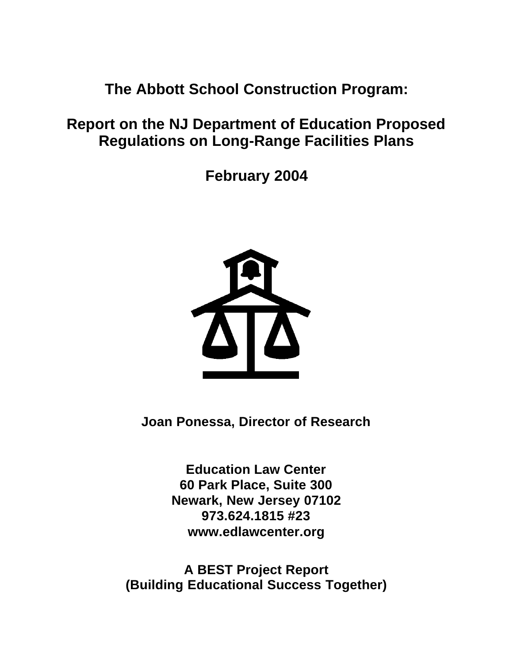**The Abbott School Construction Program:**

# **Report on the NJ Department of Education Proposed Regulations on Long-Range Facilities Plans**

**February 2004**



**Joan Ponessa, Director of Research**

**Education Law Center 60 Park Place, Suite 300 Newark, New Jersey 07102 973.624.1815 #23 www.edlawcenter.org**

**A BEST Project Report (Building Educational Success Together)**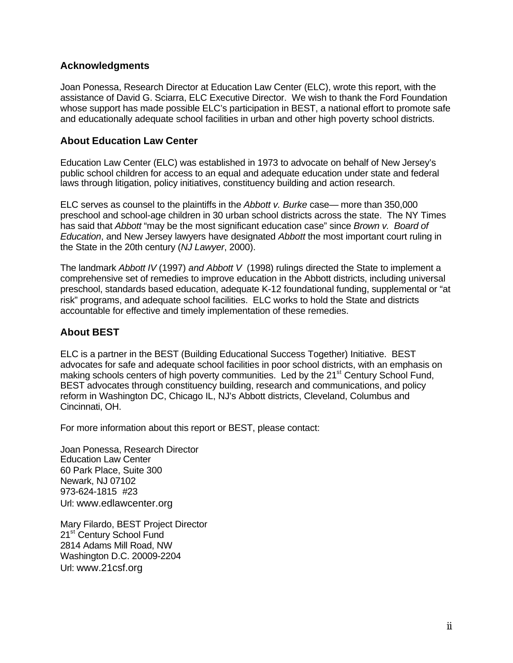#### **Acknowledgments**

Joan Ponessa, Research Director at Education Law Center (ELC), wrote this report, with the assistance of David G. Sciarra, ELC Executive Director. We wish to thank the Ford Foundation whose support has made possible ELC's participation in BEST, a national effort to promote safe and educationally adequate school facilities in urban and other high poverty school districts.

#### **About Education Law Center**

Education Law Center (ELC) was established in 1973 to advocate on behalf of New Jersey's public school children for access to an equal and adequate education under state and federal laws through litigation, policy initiatives, constituency building and action research.

ELC serves as counsel to the plaintiffs in the *Abbott v. Burke* case— more than 350,000 preschool and school-age children in 30 urban school districts across the state. The NY Times has said that *Abbott* "may be the most significant education case" since *Brown v. Board of Education*, and New Jersey lawyers have designated *Abbott* the most important court ruling in the State in the 20th century (*NJ Lawyer*, 2000).

The landmark *Abbott IV* (1997) *and Abbott V* (1998) rulings directed the State to implement a comprehensive set of remedies to improve education in the Abbott districts, including universal preschool, standards based education, adequate K-12 foundational funding, supplemental or "at risk" programs, and adequate school facilities. ELC works to hold the State and districts accountable for effective and timely implementation of these remedies.

#### **About BEST**

ELC is a partner in the BEST (Building Educational Success Together) Initiative. BEST advocates for safe and adequate school facilities in poor school districts, with an emphasis on making schools centers of high poverty communities. Led by the 21<sup>st</sup> Century School Fund, BEST advocates through constituency building, research and communications, and policy reform in Washington DC, Chicago IL, NJ's Abbott districts, Cleveland, Columbus and Cincinnati, OH.

For more information about this report or BEST, please contact:

Joan Ponessa, Research Director Education Law Center 60 Park Place, Suite 300 Newark, NJ 07102 973-624-1815 #23 Url: www.edlawcenter.org

Mary Filardo, BEST Project Director 21<sup>st</sup> Century School Fund 2814 Adams Mill Road, NW Washington D.C. 20009-2204 Url: www.21csf.org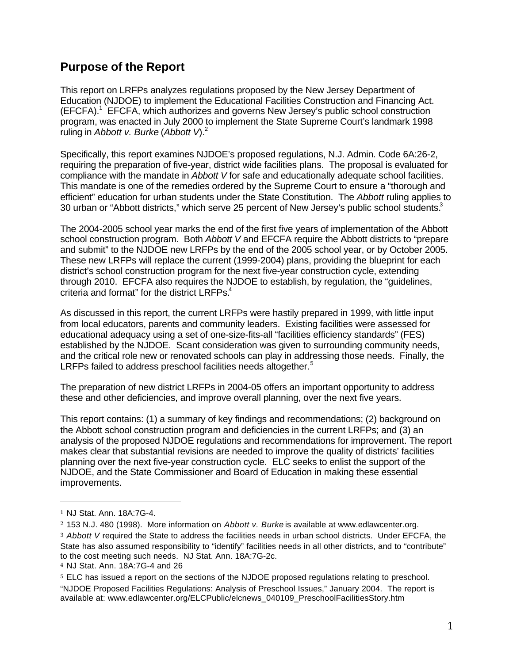## **Purpose of the Report**

This report on LRFPs analyzes regulations proposed by the New Jersey Department of Education (NJDOE) to implement the Educational Facilities Construction and Financing Act. (EFCFA).<sup>1</sup> EFCFA, which authorizes and governs New Jersey's public school construction program, was enacted in July 2000 to implement the State Supreme Court's landmark 1998 ruling in *Abbott v. Burke* (*Abbott V*).<sup>2</sup>

Specifically, this report examines NJDOE's proposed regulations, N.J. Admin. Code 6A:26-2, requiring the preparation of five-year, district wide facilities plans. The proposal is evaluated for compliance with the mandate in *Abbott V* for safe and educationally adequate school facilities. This mandate is one of the remedies ordered by the Supreme Court to ensure a "thorough and efficient" education for urban students under the State Constitution. The *Abbott* ruling applies to 30 urban or "Abbott districts," which serve 25 percent of New Jersey's public school students.<sup>3</sup>

The 2004-2005 school year marks the end of the first five years of implementation of the Abbott school construction program. Both *Abbott V* and EFCFA require the Abbott districts to "prepare and submit" to the NJDOE new LRFPs by the end of the 2005 school year, or by October 2005. These new LRFPs will replace the current (1999-2004) plans, providing the blueprint for each district's school construction program for the next five-year construction cycle, extending through 2010. EFCFA also requires the NJDOE to establish, by regulation, the "guidelines, criteria and format" for the district LRFPs.<sup>4</sup>

As discussed in this report, the current LRFPs were hastily prepared in 1999, with little input from local educators, parents and community leaders. Existing facilities were assessed for educational adequacy using a set of one-size-fits-all "facilities efficiency standards" (FES) established by the NJDOE. Scant consideration was given to surrounding community needs, and the critical role new or renovated schools can play in addressing those needs. Finally, the LRFPs failed to address preschool facilities needs altogether.<sup>5</sup>

The preparation of new district LRFPs in 2004-05 offers an important opportunity to address these and other deficiencies, and improve overall planning, over the next five years.

This report contains: (1) a summary of key findings and recommendations; (2) background on the Abbott school construction program and deficiencies in the current LRFPs; and (3) an analysis of the proposed NJDOE regulations and recommendations for improvement. The report makes clear that substantial revisions are needed to improve the quality of districts' facilities planning over the next five-year construction cycle. ELC seeks to enlist the support of the NJDOE, and the State Commissioner and Board of Education in making these essential improvements.

 $\overline{a}$ 

<sup>3</sup> *Abbott V* required the State to address the facilities needs in urban school districts. Under EFCFA, the State has also assumed responsibility to "identify" facilities needs in all other districts, and to "contribute" to the cost meeting such needs. NJ Stat. Ann. 18A:7G-2c.

<sup>1</sup> NJ Stat. Ann. 18A:7G-4.

<sup>2</sup> 153 N.J. 480 (1998). More information on *Abbott v. Burke* is available at www.edlawcenter.org.

<sup>4</sup> NJ Stat. Ann. 18A:7G-4 and 26

<sup>&</sup>lt;sup>5</sup> ELC has issued a report on the sections of the NJDOE proposed regulations relating to preschool. "NJDOE Proposed Facilities Regulations: Analysis of Preschool Issues," January 2004. The report is available at: www.edlawcenter.org/ELCPublic/elcnews\_040109\_PreschoolFacilitiesStory.htm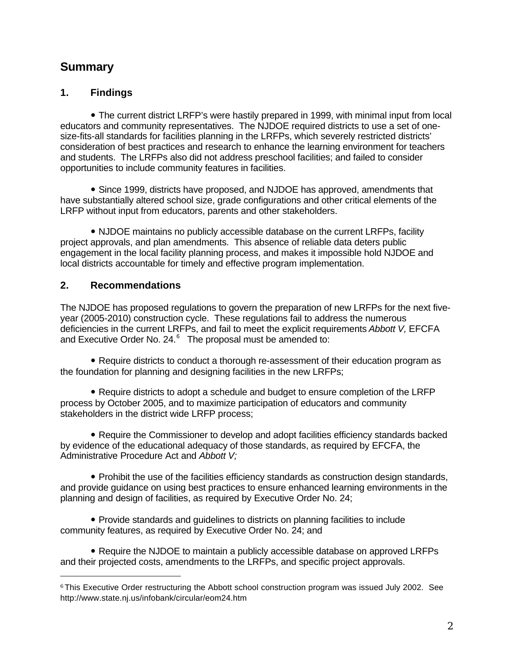## **Summary**

## **1. Findings**

• The current district LRFP's were hastily prepared in 1999, with minimal input from local educators and community representatives. The NJDOE required districts to use a set of onesize-fits-all standards for facilities planning in the LRFPs, which severely restricted districts' consideration of best practices and research to enhance the learning environment for teachers and students. The LRFPs also did not address preschool facilities; and failed to consider opportunities to include community features in facilities.

• Since 1999, districts have proposed, and NJDOE has approved, amendments that have substantially altered school size, grade configurations and other critical elements of the LRFP without input from educators, parents and other stakeholders.

• NJDOE maintains no publicly accessible database on the current LRFPs, facility project approvals, and plan amendments. This absence of reliable data deters public engagement in the local facility planning process, and makes it impossible hold NJDOE and local districts accountable for timely and effective program implementation.

## **2. Recommendations**

 $\overline{a}$ 

The NJDOE has proposed regulations to govern the preparation of new LRFPs for the next fiveyear (2005-2010) construction cycle. These regulations fail to address the numerous deficiencies in the current LRFPs, and fail to meet the explicit requirements *Abbott V,* EFCFA and Executive Order No. 24. $^6$  The proposal must be amended to:

• Require districts to conduct a thorough re-assessment of their education program as the foundation for planning and designing facilities in the new LRFPs;

• Require districts to adopt a schedule and budget to ensure completion of the LRFP process by October 2005, and to maximize participation of educators and community stakeholders in the district wide LRFP process;

• Require the Commissioner to develop and adopt facilities efficiency standards backed by evidence of the educational adequacy of those standards, as required by EFCFA, the Administrative Procedure Act and *Abbott V;*

• Prohibit the use of the facilities efficiency standards as construction design standards, and provide guidance on using best practices to ensure enhanced learning environments in the planning and design of facilities, as required by Executive Order No. 24;

• Provide standards and guidelines to districts on planning facilities to include community features, as required by Executive Order No. 24; and

• Require the NJDOE to maintain a publicly accessible database on approved LRFPs and their projected costs, amendments to the LRFPs, and specific project approvals.

<sup>6</sup> This Executive Order restructuring the Abbott school construction program was issued July 2002. See http://www.state.nj.us/infobank/circular/eom24.htm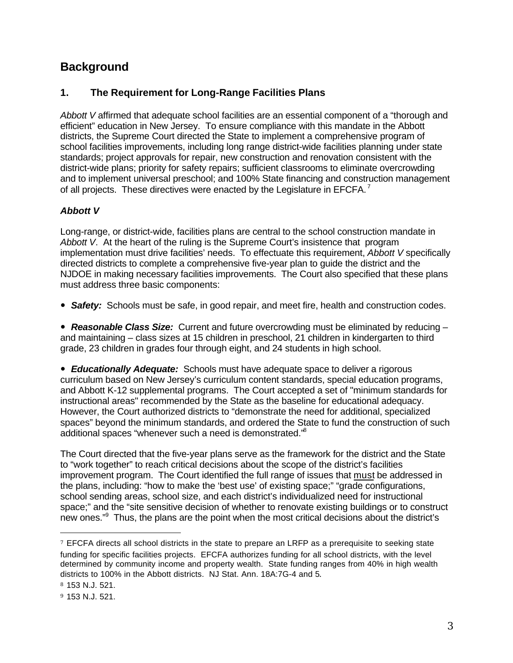## **Background**

## **1. The Requirement for Long-Range Facilities Plans**

*Abbott V* affirmed that adequate school facilities are an essential component of a "thorough and efficient" education in New Jersey. To ensure compliance with this mandate in the Abbott districts, the Supreme Court directed the State to implement a comprehensive program of school facilities improvements, including long range district-wide facilities planning under state standards; project approvals for repair, new construction and renovation consistent with the district-wide plans; priority for safety repairs; sufficient classrooms to eliminate overcrowding and to implement universal preschool; and 100% State financing and construction management of all projects. These directives were enacted by the Legislature in EFCFA.<sup>7</sup>

#### *Abbott V*

Long-range, or district-wide, facilities plans are central to the school construction mandate in *Abbott V*. At the heart of the ruling is the Supreme Court's insistence that program implementation must drive facilities' needs. To effectuate this requirement, *Abbott V* specifically directed districts to complete a comprehensive five-year plan to guide the district and the NJDOE in making necessary facilities improvements. The Court also specified that these plans must address three basic components:

• **Safety:** Schools must be safe, in good repair, and meet fire, health and construction codes.

• **Reasonable Class Size:** Current and future overcrowding must be eliminated by reducing – and maintaining – class sizes at 15 children in preschool, 21 children in kindergarten to third grade, 23 children in grades four through eight, and 24 students in high school.

• **Educationally Adequate:** Schools must have adequate space to deliver a rigorous curriculum based on New Jersey's curriculum content standards, special education programs, and Abbott K-12 supplemental programs. The Court accepted a set of "minimum standards for instructional areas" recommended by the State as the baseline for educational adequacy. However, the Court authorized districts to "demonstrate the need for additional, specialized spaces" beyond the minimum standards, and ordered the State to fund the construction of such additional spaces "whenever such a need is demonstrated."<sup>8</sup>

The Court directed that the five-year plans serve as the framework for the district and the State to "work together" to reach critical decisions about the scope of the district's facilities improvement program. The Court identified the full range of issues that must be addressed in the plans, including: "how to make the 'best use' of existing space;" "grade configurations, school sending areas, school size, and each district's individualized need for instructional space;" and the "site sensitive decision of whether to renovate existing buildings or to construct new ones."<sup>9</sup> Thus, the plans are the point when the most critical decisions about the district's

<sup>7</sup> EFCFA directs all school districts in the state to prepare an LRFP as a prerequisite to seeking state funding for specific facilities projects. EFCFA authorizes funding for all school districts, with the level determined by community income and property wealth. State funding ranges from 40% in high wealth districts to 100% in the Abbott districts. NJ Stat. Ann. 18A:7G-4 and 5.

<sup>8</sup> 153 N.J. 521.

<sup>9</sup> 153 N.J. 521.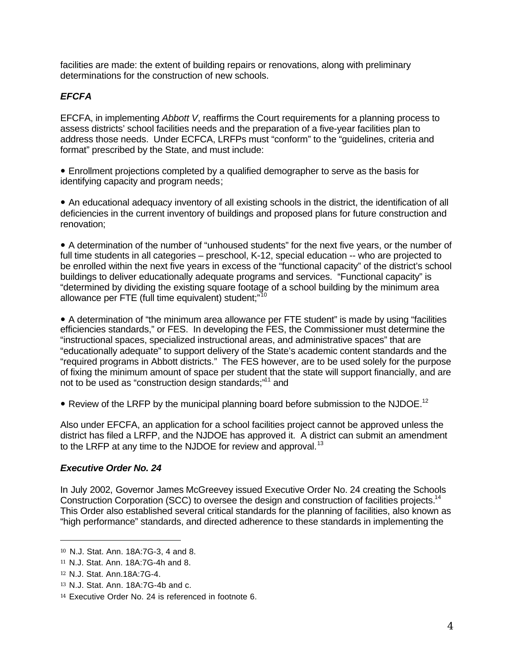facilities are made: the extent of building repairs or renovations, along with preliminary determinations for the construction of new schools.

## *EFCFA*

EFCFA, in implementing *Abbott V*, reaffirms the Court requirements for a planning process to assess districts' school facilities needs and the preparation of a five-year facilities plan to address those needs. Under ECFCA, LRFPs must "conform" to the "guidelines, criteria and format" prescribed by the State, and must include:

• Enrollment projections completed by a qualified demographer to serve as the basis for identifying capacity and program needs;

• An educational adequacy inventory of all existing schools in the district, the identification of all deficiencies in the current inventory of buildings and proposed plans for future construction and renovation;

• A determination of the number of "unhoused students" for the next five years, or the number of full time students in all categories – preschool, K-12, special education -- who are projected to be enrolled within the next five years in excess of the "functional capacity" of the district's school buildings to deliver educationally adequate programs and services. "Functional capacity" is "determined by dividing the existing square footage of a school building by the minimum area allowance per FTE (full time equivalent) student;"<sup>10</sup>

• A determination of "the minimum area allowance per FTE student" is made by using "facilities efficiencies standards," or FES. In developing the FES, the Commissioner must determine the "instructional spaces, specialized instructional areas, and administrative spaces" that are "educationally adequate" to support delivery of the State's academic content standards and the "required programs in Abbott districts." The FES however, are to be used solely for the purpose of fixing the minimum amount of space per student that the state will support financially, and are not to be used as "construction design standards;"<sup>11</sup> and

• Review of the LRFP by the municipal planning board before submission to the NJDOE.<sup>12</sup>

Also under EFCFA, an application for a school facilities project cannot be approved unless the district has filed a LRFP, and the NJDOE has approved it. A district can submit an amendment to the LRFP at any time to the NJDOE for review and approval.<sup>13</sup>

#### *Executive Order No. 24*

In July 2002, Governor James McGreevey issued Executive Order No. 24 creating the Schools Construction Corporation (SCC) to oversee the design and construction of facilities projects.<sup>14</sup> This Order also established several critical standards for the planning of facilities, also known as "high performance" standards, and directed adherence to these standards in implementing the

<sup>10</sup> N.J. Stat. Ann. 18A:7G-3, 4 and 8.

<sup>11</sup> N.J. Stat. Ann. 18A:7G-4h and 8.

<sup>12</sup> N.J. Stat. Ann.18A:7G-4.

<sup>13</sup> N.J. Stat. Ann. 18A:7G-4b and c.

<sup>14</sup> Executive Order No. 24 is referenced in footnote 6.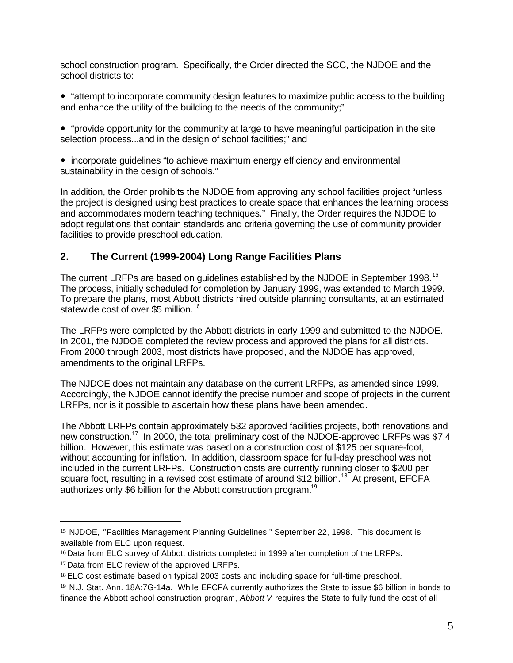school construction program. Specifically, the Order directed the SCC, the NJDOE and the school districts to:

• "attempt to incorporate community design features to maximize public access to the building and enhance the utility of the building to the needs of the community;"

• "provide opportunity for the community at large to have meaningful participation in the site selection process...and in the design of school facilities;" and

• incorporate guidelines "to achieve maximum energy efficiency and environmental sustainability in the design of schools."

In addition, the Order prohibits the NJDOE from approving any school facilities project "unless the project is designed using best practices to create space that enhances the learning process and accommodates modern teaching techniques." Finally, the Order requires the NJDOE to adopt regulations that contain standards and criteria governing the use of community provider facilities to provide preschool education.

## **2. The Current (1999-2004) Long Range Facilities Plans**

The current LRFPs are based on guidelines established by the NJDOE in September 1998.<sup>15</sup> The process, initially scheduled for completion by January 1999, was extended to March 1999. To prepare the plans, most Abbott districts hired outside planning consultants, at an estimated statewide cost of over \$5 million.<sup>16</sup>

The LRFPs were completed by the Abbott districts in early 1999 and submitted to the NJDOE. In 2001, the NJDOE completed the review process and approved the plans for all districts. From 2000 through 2003, most districts have proposed, and the NJDOE has approved, amendments to the original LRFPs.

The NJDOE does not maintain any database on the current LRFPs, as amended since 1999. Accordingly, the NJDOE cannot identify the precise number and scope of projects in the current LRFPs, nor is it possible to ascertain how these plans have been amended.

The Abbott LRFPs contain approximately 532 approved facilities projects, both renovations and new construction.<sup>17</sup> In 2000, the total preliminary cost of the NJDOE-approved LRFPs was \$7.4 billion. However, this estimate was based on a construction cost of \$125 per square-foot. without accounting for inflation. In addition, classroom space for full-day preschool was not included in the current LRFPs. Construction costs are currently running closer to \$200 per square foot, resulting in a revised cost estimate of around \$12 billion.<sup>18</sup> At present, EFCFA authorizes only \$6 billion for the Abbott construction program.<sup>19</sup>

<sup>15</sup> NJDOE, "Facilities Management Planning Guidelines," September 22, 1998. This document is available from ELC upon request.

<sup>16</sup> Data from ELC survey of Abbott districts completed in 1999 after completion of the LRFPs. <sup>17</sup> Data from ELC review of the approved LRFPs.

<sup>18</sup> ELC cost estimate based on typical 2003 costs and including space for full-time preschool.

<sup>19</sup> N.J. Stat. Ann. 18A:7G-14a. While EFCFA currently authorizes the State to issue \$6 billion in bonds to finance the Abbott school construction program, *Abbott V* requires the State to fully fund the cost of all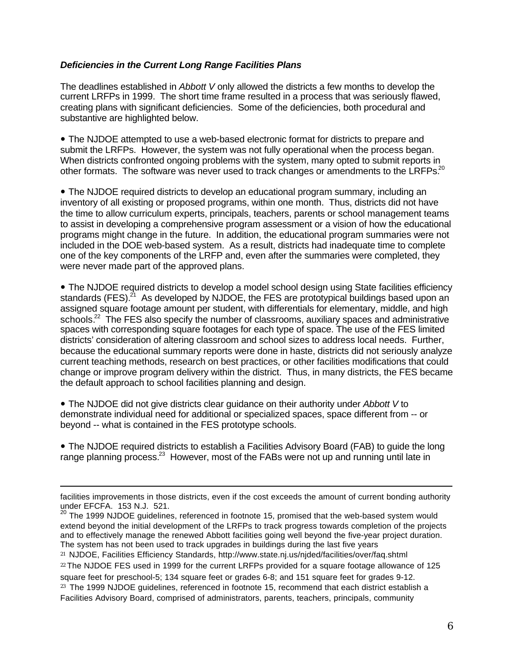#### *Deficiencies in the Current Long Range Facilities Plans*

The deadlines established in *Abbott V* only allowed the districts a few months to develop the current LRFPs in 1999. The short time frame resulted in a process that was seriously flawed, creating plans with significant deficiencies. Some of the deficiencies, both procedural and substantive are highlighted below.

• The NJDOE attempted to use a web-based electronic format for districts to prepare and submit the LRFPs. However, the system was not fully operational when the process began. When districts confronted ongoing problems with the system, many opted to submit reports in other formats. The software was never used to track changes or amendments to the LRFPs.<sup>20</sup>

• The NJDOE required districts to develop an educational program summary, including an inventory of all existing or proposed programs, within one month. Thus, districts did not have the time to allow curriculum experts, principals, teachers, parents or school management teams to assist in developing a comprehensive program assessment or a vision of how the educational programs might change in the future. In addition, the educational program summaries were not included in the DOE web-based system. As a result, districts had inadequate time to complete one of the key components of the LRFP and, even after the summaries were completed, they were never made part of the approved plans.

• The NJDOE required districts to develop a model school design using State facilities efficiency standards (FES).<sup>21</sup> As developed by NJDOE, the FES are prototypical buildings based upon an assigned square footage amount per student, with differentials for elementary, middle, and high schools.<sup>22</sup> The FES also specify the number of classrooms, auxiliary spaces and administrative spaces with corresponding square footages for each type of space. The use of the FES limited districts' consideration of altering classroom and school sizes to address local needs. Further, because the educational summary reports were done in haste, districts did not seriously analyze current teaching methods, research on best practices, or other facilities modifications that could change or improve program delivery within the district. Thus, in many districts, the FES became the default approach to school facilities planning and design.

• The NJDOE did not give districts clear guidance on their authority under *Abbott V* to demonstrate individual need for additional or specialized spaces, space different from -- or beyond -- what is contained in the FES prototype schools.

• The NJDOE required districts to establish a Facilities Advisory Board (FAB) to quide the long range planning process.<sup>23</sup> However, most of the FABs were not up and running until late in

facilities improvements in those districts, even if the cost exceeds the amount of current bonding authority under EFCFA. 153 N.J. 521.

 $^{20}$  The 1999 NJDOE guidelines, referenced in footnote 15, promised that the web-based system would extend beyond the initial development of the LRFPs to track progress towards completion of the projects and to effectively manage the renewed Abbott facilities going well beyond the five-year project duration. The system has not been used to track upgrades in buildings during the last five years

<sup>21</sup> NJDOE, Facilities Efficiency Standards, http://www.state.nj.us/njded/facilities/over/faq.shtml <sup>22</sup> The NJDOE FES used in 1999 for the current LRFPs provided for a square footage allowance of 125

square feet for preschool-5; 134 square feet or grades 6-8; and 151 square feet for grades 9-12. <sup>23</sup> The 1999 NJDOE guidelines, referenced in footnote 15, recommend that each district establish a

Facilities Advisory Board, comprised of administrators, parents, teachers, principals, community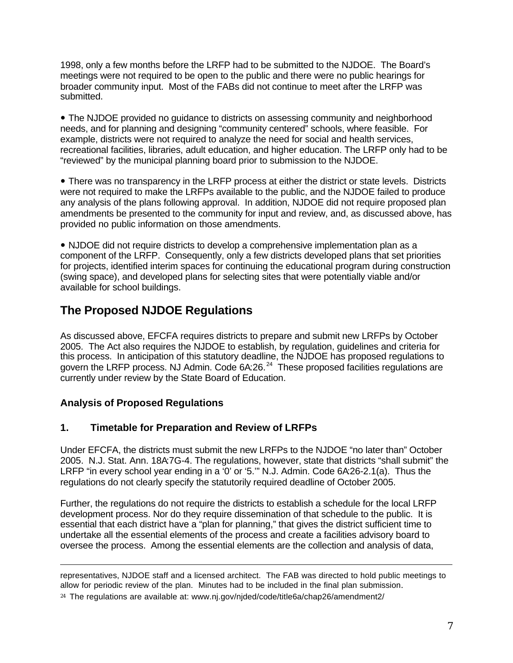1998, only a few months before the LRFP had to be submitted to the NJDOE. The Board's meetings were not required to be open to the public and there were no public hearings for broader community input. Most of the FABs did not continue to meet after the LRFP was submitted.

• The NJDOE provided no quidance to districts on assessing community and neighborhood needs, and for planning and designing "community centered" schools, where feasible. For example, districts were not required to analyze the need for social and health services, recreational facilities, libraries, adult education, and higher education. The LRFP only had to be "reviewed" by the municipal planning board prior to submission to the NJDOE.

• There was no transparency in the LRFP process at either the district or state levels. Districts were not required to make the LRFPs available to the public, and the NJDOE failed to produce any analysis of the plans following approval. In addition, NJDOE did not require proposed plan amendments be presented to the community for input and review, and, as discussed above, has provided no public information on those amendments.

• NJDOE did not require districts to develop a comprehensive implementation plan as a component of the LRFP. Consequently, only a few districts developed plans that set priorities for projects, identified interim spaces for continuing the educational program during construction (swing space), and developed plans for selecting sites that were potentially viable and/or available for school buildings.

## **The Proposed NJDOE Regulations**

As discussed above, EFCFA requires districts to prepare and submit new LRFPs by October 2005. The Act also requires the NJDOE to establish, by regulation, guidelines and criteria for this process. In anticipation of this statutory deadline, the NJDOE has proposed regulations to govern the LRFP process. NJ Admin. Code 6A:26.<sup>24</sup> These proposed facilities regulations are currently under review by the State Board of Education.

## **Analysis of Proposed Regulations**

 $\overline{a}$ 

## **1. Timetable for Preparation and Review of LRFPs**

Under EFCFA, the districts must submit the new LRFPs to the NJDOE "no later than" October 2005. N.J. Stat. Ann. 18A7G-4. The regulations, however, state that districts "shall submit" the LRFP "in every school year ending in a '0' or '5.'" N.J. Admin. Code 6A:26-2.1(a). Thus the regulations do not clearly specify the statutorily required deadline of October 2005.

Further, the regulations do not require the districts to establish a schedule for the local LRFP development process. Nor do they require dissemination of that schedule to the public. It is essential that each district have a "plan for planning," that gives the district sufficient time to undertake all the essential elements of the process and create a facilities advisory board to oversee the process. Among the essential elements are the collection and analysis of data,

representatives, NJDOE staff and a licensed architect. The FAB was directed to hold public meetings to allow for periodic review of the plan. Minutes had to be included in the final plan submission.

<sup>24</sup> The regulations are available at: www.nj.gov/njded/code/title6a/chap26/amendment2/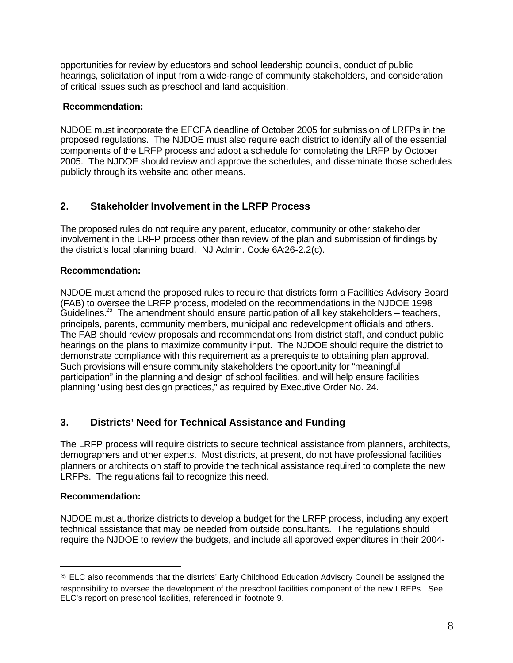opportunities for review by educators and school leadership councils, conduct of public hearings, solicitation of input from a wide-range of community stakeholders, and consideration of critical issues such as preschool and land acquisition.

#### **Recommendation:**

NJDOE must incorporate the EFCFA deadline of October 2005 for submission of LRFPs in the proposed regulations. The NJDOE must also require each district to identify all of the essential components of the LRFP process and adopt a schedule for completing the LRFP by October 2005. The NJDOE should review and approve the schedules, and disseminate those schedules publicly through its website and other means.

## **2. Stakeholder Involvement in the LRFP Process**

The proposed rules do not require any parent, educator, community or other stakeholder involvement in the LRFP process other than review of the plan and submission of findings by the district's local planning board. NJ Admin. Code 6A:26-2.2(c).

#### **Recommendation:**

NJDOE must amend the proposed rules to require that districts form a Facilities Advisory Board (FAB) to oversee the LRFP process, modeled on the recommendations in the NJDOE 1998 Guidelines.<sup>25</sup> The amendment should ensure participation of all key stakeholders – teachers, principals, parents, community members, municipal and redevelopment officials and others. The FAB should review proposals and recommendations from district staff, and conduct public hearings on the plans to maximize community input. The NJDOE should require the district to demonstrate compliance with this requirement as a prerequisite to obtaining plan approval. Such provisions will ensure community stakeholders the opportunity for "meaningful participation" in the planning and design of school facilities, and will help ensure facilities planning "using best design practices," as required by Executive Order No. 24.

## **3. Districts' Need for Technical Assistance and Funding**

The LRFP process will require districts to secure technical assistance from planners, architects, demographers and other experts. Most districts, at present, do not have professional facilities planners or architects on staff to provide the technical assistance required to complete the new LRFPs. The regulations fail to recognize this need.

#### **Recommendation:**

 $\overline{a}$ 

NJDOE must authorize districts to develop a budget for the LRFP process, including any expert technical assistance that may be needed from outside consultants. The regulations should require the NJDOE to review the budgets, and include all approved expenditures in their 2004-

<sup>25</sup> ELC also recommends that the districts' Early Childhood Education Advisory Council be assigned the responsibility to oversee the development of the preschool facilities component of the new LRFPs. See ELC's report on preschool facilities, referenced in footnote 9.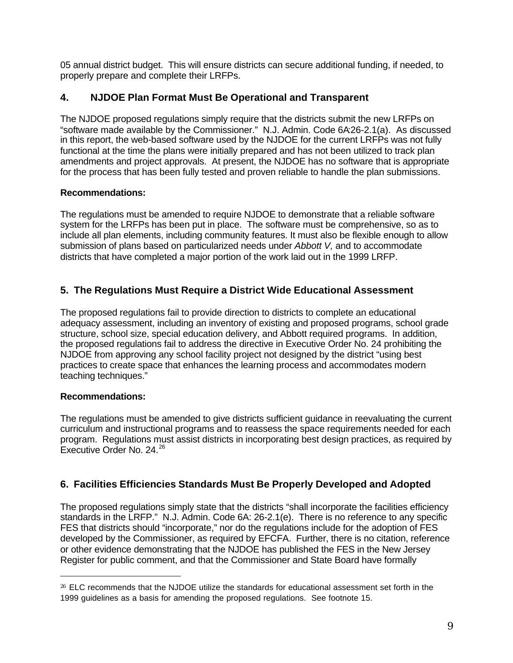05 annual district budget. This will ensure districts can secure additional funding, if needed, to properly prepare and complete their LRFPs.

#### **4. NJDOE Plan Format Must Be Operational and Transparent**

The NJDOE proposed regulations simply require that the districts submit the new LRFPs on "software made available by the Commissioner." N.J. Admin. Code 6A:26-2.1(a). As discussed in this report, the web-based software used by the NJDOE for the current LRFPs was not fully functional at the time the plans were initially prepared and has not been utilized to track plan amendments and project approvals. At present, the NJDOE has no software that is appropriate for the process that has been fully tested and proven reliable to handle the plan submissions.

#### **Recommendations:**

The regulations must be amended to require NJDOE to demonstrate that a reliable software system for the LRFPs has been put in place. The software must be comprehensive, so as to include all plan elements, including community features. It must also be flexible enough to allow submission of plans based on particularized needs under *Abbott V,* and to accommodate districts that have completed a major portion of the work laid out in the 1999 LRFP.

#### **5. The Regulations Must Require a District Wide Educational Assessment**

The proposed regulations fail to provide direction to districts to complete an educational adequacy assessment, including an inventory of existing and proposed programs, school grade structure, school size, special education delivery, and Abbott required programs. In addition, the proposed regulations fail to address the directive in Executive Order No. 24 prohibiting the NJDOE from approving any school facility project not designed by the district "using best practices to create space that enhances the learning process and accommodates modern teaching techniques."

#### **Recommendations:**

 $\overline{a}$ 

The regulations must be amended to give districts sufficient guidance in reevaluating the current curriculum and instructional programs and to reassess the space requirements needed for each program. Regulations must assist districts in incorporating best design practices, as required by Executive Order No. 24.<sup>26</sup>

#### **6. Facilities Efficiencies Standards Must Be Properly Developed and Adopted**

The proposed regulations simply state that the districts "shall incorporate the facilities efficiency standards in the LRFP." N.J. Admin. Code 6A: 26-2.1(e). There is no reference to any specific FES that districts should "incorporate," nor do the regulations include for the adoption of FES developed by the Commissioner, as required by EFCFA. Further, there is no citation, reference or other evidence demonstrating that the NJDOE has published the FES in the New Jersey Register for public comment, and that the Commissioner and State Board have formally

<sup>26</sup> ELC recommends that the NJDOE utilize the standards for educational assessment set forth in the 1999 guidelines as a basis for amending the proposed regulations. See footnote 15.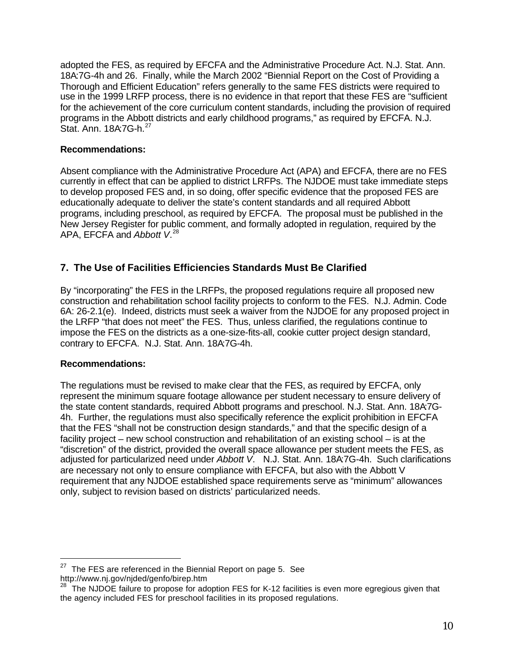adopted the FES, as required by EFCFA and the Administrative Procedure Act. N.J. Stat. Ann. 18A:7G-4h and 26. Finally, while the March 2002 "Biennial Report on the Cost of Providing a Thorough and Efficient Education" refers generally to the same FES districts were required to use in the 1999 LRFP process, there is no evidence in that report that these FES are "sufficient for the achievement of the core curriculum content standards, including the provision of required programs in the Abbott districts and early childhood programs," as required by EFCFA. N.J. Stat. Ann. 18A:7G-h.<sup>27</sup>

#### **Recommendations:**

Absent compliance with the Administrative Procedure Act (APA) and EFCFA, there are no FES currently in effect that can be applied to district LRFPs. The NJDOE must take immediate steps to develop proposed FES and, in so doing, offer specific evidence that the proposed FES are educationally adequate to deliver the state's content standards and all required Abbott programs, including preschool, as required by EFCFA. The proposal must be published in the New Jersey Register for public comment, and formally adopted in regulation, required by the APA, EFCFA and *Abbott V*. 28

## **7. The Use of Facilities Efficiencies Standards Must Be Clarified**

By "incorporating" the FES in the LRFPs, the proposed regulations require all proposed new construction and rehabilitation school facility projects to conform to the FES. N.J. Admin. Code 6A: 26-2.1(e). Indeed, districts must seek a waiver from the NJDOE for any proposed project in the LRFP "that does not meet" the FES. Thus, unless clarified, the regulations continue to impose the FES on the districts as a one-size-fits-all, cookie cutter project design standard, contrary to EFCFA. N.J. Stat. Ann. 18A:7G-4h.

#### **Recommendations:**

 $\overline{a}$ 

The regulations must be revised to make clear that the FES, as required by EFCFA, only represent the minimum square footage allowance per student necessary to ensure delivery of the state content standards, required Abbott programs and preschool. N.J. Stat. Ann. 18A7G-4h. Further, the regulations must also specifically reference the explicit prohibition in EFCFA that the FES "shall not be construction design standards," and that the specific design of a facility project – new school construction and rehabilitation of an existing school – is at the "discretion" of the district, provided the overall space allowance per student meets the FES, as adjusted for particularized need under *Abbott V*. N.J. Stat. Ann. 18A:7G-4h. Such clarifications are necessary not only to ensure compliance with EFCFA, but also with the Abbott V requirement that any NJDOE established space requirements serve as "minimum" allowances only, subject to revision based on districts' particularized needs.

 $27$  The FES are referenced in the Biennial Report on page 5. See http://www.nj.gov/njded/genfo/birep.htm

<sup>28</sup> The NJDOE failure to propose for adoption FES for K-12 facilities is even more egregious given that the agency included FES for preschool facilities in its proposed regulations.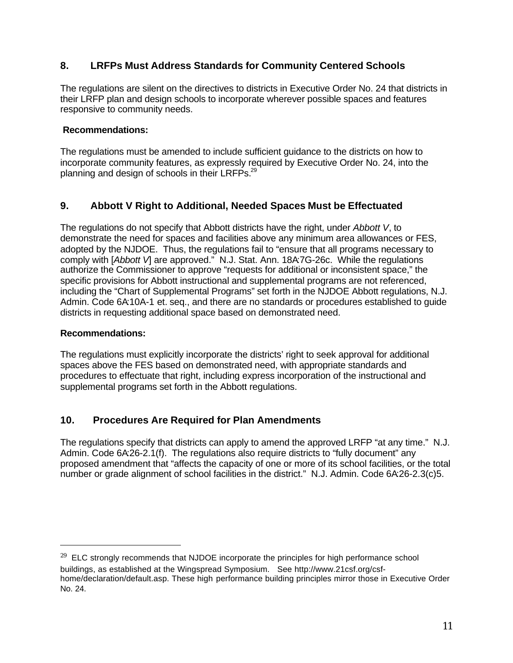## **8. LRFPs Must Address Standards for Community Centered Schools**

The regulations are silent on the directives to districts in Executive Order No. 24 that districts in their LRFP plan and design schools to incorporate wherever possible spaces and features responsive to community needs.

#### **Recommendations:**

The regulations must be amended to include sufficient guidance to the districts on how to incorporate community features, as expressly required by Executive Order No. 24, into the planning and design of schools in their LRFPs.<sup>29</sup>

#### **9. Abbott V Right to Additional, Needed Spaces Must be Effectuated**

The regulations do not specify that Abbott districts have the right, under *Abbott V*, to demonstrate the need for spaces and facilities above any minimum area allowances or FES, adopted by the NJDOE. Thus, the regulations fail to "ensure that all programs necessary to comply with [*Abbott V*] are approved." N.J. Stat. Ann. 18A:7G-26c. While the regulations authorize the Commissioner to approve "requests for additional or inconsistent space," the specific provisions for Abbott instructional and supplemental programs are not referenced, including the "Chart of Supplemental Programs" set forth in the NJDOE Abbott regulations, N.J. Admin. Code 6A:10A-1 et. seq., and there are no standards or procedures established to guide districts in requesting additional space based on demonstrated need.

#### **Recommendations:**

 $\overline{a}$ 

The regulations must explicitly incorporate the districts' right to seek approval for additional spaces above the FES based on demonstrated need, with appropriate standards and procedures to effectuate that right, including express incorporation of the instructional and supplemental programs set forth in the Abbott regulations.

## **10. Procedures Are Required for Plan Amendments**

The regulations specify that districts can apply to amend the approved LRFP "at any time." N.J. Admin. Code 6A:26-2.1(f). The regulations also require districts to "fully document" any proposed amendment that "affects the capacity of one or more of its school facilities, or the total number or grade alignment of school facilities in the district." N.J. Admin. Code 6A:26-2.3(c)5.

 $29$  ELC strongly recommends that NJDOE incorporate the principles for high performance school buildings, as established at the Wingspread Symposium. See http://www.21csf.org/csfhome/declaration/default.asp. These high performance building principles mirror those in Executive Order No. 24.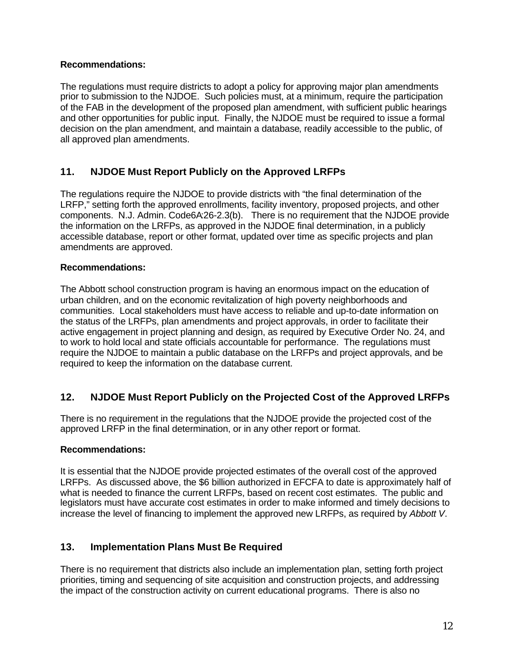#### **Recommendations:**

The regulations must require districts to adopt a policy for approving major plan amendments prior to submission to the NJDOE. Such policies must, at a minimum, require the participation of the FAB in the development of the proposed plan amendment, with sufficient public hearings and other opportunities for public input. Finally, the NJDOE must be required to issue a formal decision on the plan amendment, and maintain a database, readily accessible to the public, of all approved plan amendments.

#### **11. NJDOE Must Report Publicly on the Approved LRFPs**

The regulations require the NJDOE to provide districts with "the final determination of the LRFP," setting forth the approved enrollments, facility inventory, proposed projects, and other components. N.J. Admin. Code6A:26-2.3(b). There is no requirement that the NJDOE provide the information on the LRFPs, as approved in the NJDOE final determination, in a publicly accessible database, report or other format, updated over time as specific projects and plan amendments are approved.

#### **Recommendations:**

The Abbott school construction program is having an enormous impact on the education of urban children, and on the economic revitalization of high poverty neighborhoods and communities. Local stakeholders must have access to reliable and up-to-date information on the status of the LRFPs, plan amendments and project approvals, in order to facilitate their active engagement in project planning and design, as required by Executive Order No. 24, and to work to hold local and state officials accountable for performance. The regulations must require the NJDOE to maintain a public database on the LRFPs and project approvals, and be required to keep the information on the database current.

## **12. NJDOE Must Report Publicly on the Projected Cost of the Approved LRFPs**

There is no requirement in the regulations that the NJDOE provide the projected cost of the approved LRFP in the final determination, or in any other report or format.

#### **Recommendations:**

It is essential that the NJDOE provide projected estimates of the overall cost of the approved LRFPs. As discussed above, the \$6 billion authorized in EFCFA to date is approximately half of what is needed to finance the current LRFPs, based on recent cost estimates. The public and legislators must have accurate cost estimates in order to make informed and timely decisions to increase the level of financing to implement the approved new LRFPs, as required by *Abbott V*.

#### **13. Implementation Plans Must Be Required**

There is no requirement that districts also include an implementation plan, setting forth project priorities, timing and sequencing of site acquisition and construction projects, and addressing the impact of the construction activity on current educational programs. There is also no